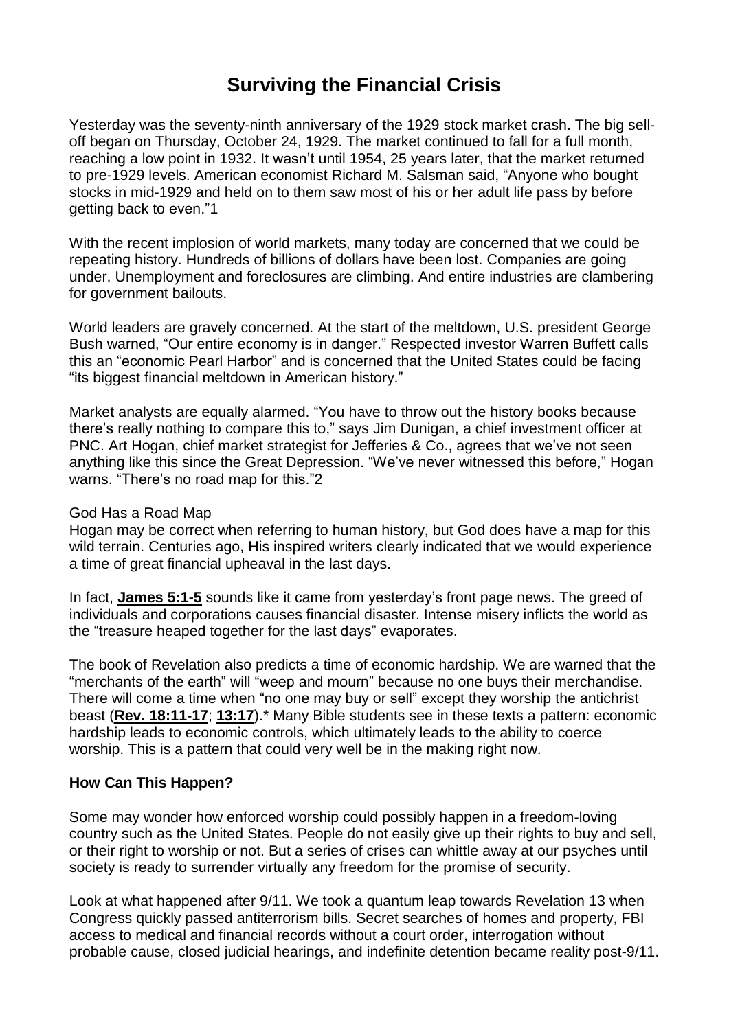# **Surviving the Financial Crisis**

Yesterday was the seventy-ninth anniversary of the 1929 stock market crash. The big selloff began on Thursday, October 24, 1929. The market continued to fall for a full month, reaching a low point in 1932. It wasn't until 1954, 25 years later, that the market returned to pre-1929 levels. American economist Richard M. Salsman said, "Anyone who bought stocks in mid-1929 and held on to them saw most of his or her adult life pass by before getting back to even."1

With the recent implosion of world markets, many today are concerned that we could be repeating history. Hundreds of billions of dollars have been lost. Companies are going under. Unemployment and foreclosures are climbing. And entire industries are clambering for government bailouts.

World leaders are gravely concerned. At the start of the meltdown, U.S. president George Bush warned, "Our entire economy is in danger." Respected investor Warren Buffett calls this an "economic Pearl Harbor" and is concerned that the United States could be facing "its biggest financial meltdown in American history."

Market analysts are equally alarmed. "You have to throw out the history books because there's really nothing to compare this to," says Jim Dunigan, a chief investment officer at PNC. Art Hogan, chief market strategist for Jefferies & Co., agrees that we've not seen anything like this since the Great Depression. "We've never witnessed this before," Hogan warns. "There's no road map for this."2

#### God Has a Road Map

Hogan may be correct when referring to human history, but God does have a map for this wild terrain. Centuries ago, His inspired writers clearly indicated that we would experience a time of great financial upheaval in the last days.

In fact, **[James](https://biblia.com/bible/nkjv/James%205.1-5) 5:1-5** sounds like it came from yesterday's front page news. The greed of individuals and corporations causes financial disaster. Intense misery inflicts the world as the "treasure heaped together for the last days" evaporates.

The book of Revelation also predicts a time of economic hardship. We are warned that the "merchants of the earth" will "weep and mourn" because no one buys their merchandise. There will come a time when "no one may buy or sell" except they worship the antichrist beast (**Rev. [18:11-17](https://biblia.com/bible/nkjv/Rev.%2018.11-17)**; **[13:17](https://biblia.com/bible/nkjv/Rev%2013.17)**).\* Many Bible students see in these texts a pattern: economic hardship leads to economic controls, which ultimately leads to the ability to coerce worship. This is a pattern that could very well be in the making right now.

### **How Can This Happen?**

Some may wonder how enforced worship could possibly happen in a freedom-loving country such as the United States. People do not easily give up their rights to buy and sell, or their right to worship or not. But a series of crises can whittle away at our psyches until society is ready to surrender virtually any freedom for the promise of security.

Look at what happened after 9/11. We took a quantum leap towards Revelation 13 when Congress quickly passed antiterrorism bills. Secret searches of homes and property, FBI access to medical and financial records without a court order, interrogation without probable cause, closed judicial hearings, and indefinite detention became reality post-9/11.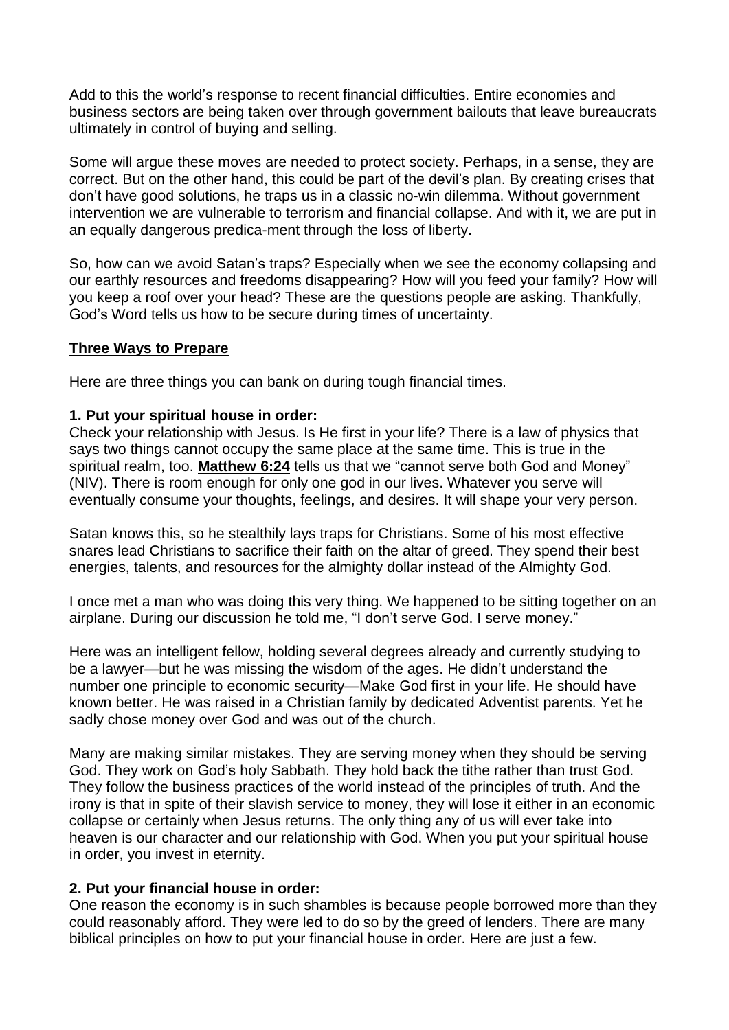Add to this the world's response to recent financial difficulties. Entire economies and business sectors are being taken over through government bailouts that leave bureaucrats ultimately in control of buying and selling.

Some will argue these moves are needed to protect society. Perhaps, in a sense, they are correct. But on the other hand, this could be part of the devil's plan. By creating crises that don't have good solutions, he traps us in a classic no-win dilemma. Without government intervention we are vulnerable to terrorism and financial collapse. And with it, we are put in an equally dangerous predica-ment through the loss of liberty.

So, how can we avoid Satan's traps? Especially when we see the economy collapsing and our earthly resources and freedoms disappearing? How will you feed your family? How will you keep a roof over your head? These are the questions people are asking. Thankfully, God's Word tells us how to be secure during times of uncertainty.

### **Three Ways to Prepare**

Here are three things you can bank on during tough financial times.

### **1. Put your spiritual house in order:**

Check your relationship with Jesus. Is He first in your life? There is a law of physics that says two things cannot occupy the same place at the same time. This is true in the spiritual realm, too. **[Matthew](https://biblia.com/bible/nkjv/Matt%206.24) 6:24** tells us that we "cannot serve both God and Money" (NIV). There is room enough for only one god in our lives. Whatever you serve will eventually consume your thoughts, feelings, and desires. It will shape your very person.

Satan knows this, so he stealthily lays traps for Christians. Some of his most effective snares lead Christians to sacrifice their faith on the altar of greed. They spend their best energies, talents, and resources for the almighty dollar instead of the Almighty God.

I once met a man who was doing this very thing. We happened to be sitting together on an airplane. During our discussion he told me, "I don't serve God. I serve money."

Here was an intelligent fellow, holding several degrees already and currently studying to be a lawyer—but he was missing the wisdom of the ages. He didn't understand the number one principle to economic security—Make God first in your life. He should have known better. He was raised in a Christian family by dedicated Adventist parents. Yet he sadly chose money over God and was out of the church.

Many are making similar mistakes. They are serving money when they should be serving God. They work on God's holy Sabbath. They hold back the tithe rather than trust God. They follow the business practices of the world instead of the principles of truth. And the irony is that in spite of their slavish service to money, they will lose it either in an economic collapse or certainly when Jesus returns. The only thing any of us will ever take into heaven is our character and our relationship with God. When you put your spiritual house in order, you invest in eternity.

### **2. Put your financial house in order:**

One reason the economy is in such shambles is because people borrowed more than they could reasonably afford. They were led to do so by the greed of lenders. There are many biblical principles on how to put your financial house in order. Here are just a few.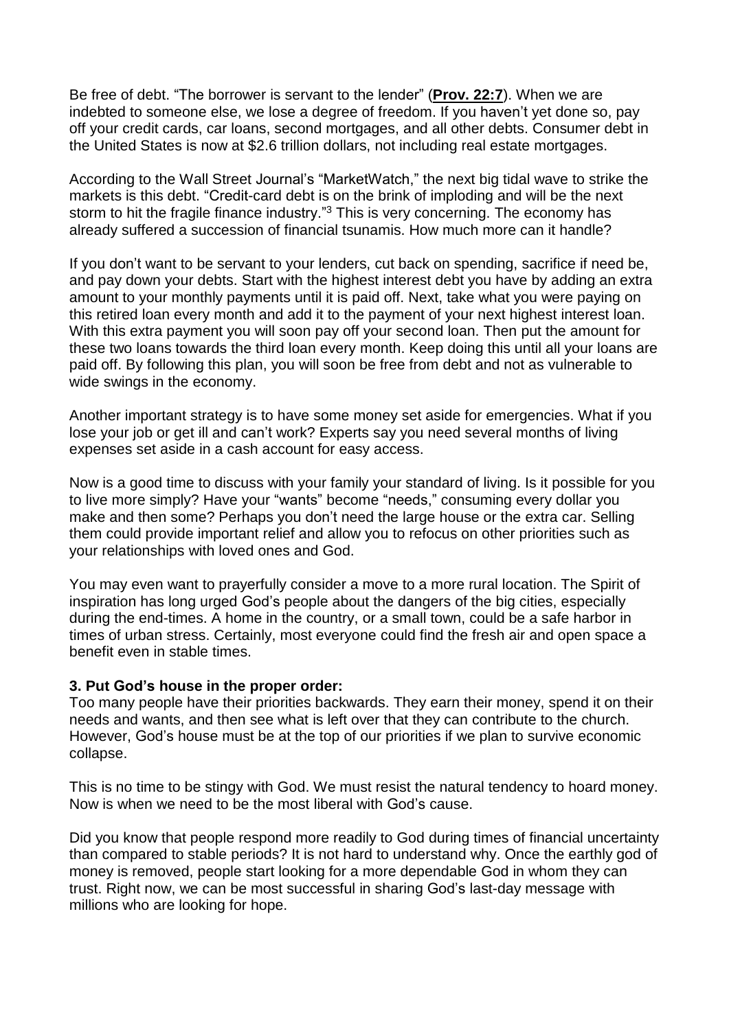Be free of debt. "The borrower is servant to the lender" (**[Prov.](https://biblia.com/bible/nkjv/Prov.%2022.7) 22:7**). When we are indebted to someone else, we lose a degree of freedom. If you haven't yet done so, pay off your credit cards, car loans, second mortgages, and all other debts. Consumer debt in the United States is now at \$2.6 trillion dollars, not including real estate mortgages.

According to the Wall Street Journal's "MarketWatch," the next big tidal wave to strike the markets is this debt. "Credit-card debt is on the brink of imploding and will be the next storm to hit the fragile finance industry."<sup>3</sup> This is very concerning. The economy has already suffered a succession of financial tsunamis. How much more can it handle?

If you don't want to be servant to your lenders, cut back on spending, sacrifice if need be, and pay down your debts. Start with the highest interest debt you have by adding an extra amount to your monthly payments until it is paid off. Next, take what you were paying on this retired loan every month and add it to the payment of your next highest interest loan. With this extra payment you will soon pay off your second loan. Then put the amount for these two loans towards the third loan every month. Keep doing this until all your loans are paid off. By following this plan, you will soon be free from debt and not as vulnerable to wide swings in the economy.

Another important strategy is to have some money set aside for emergencies. What if you lose vour iob or get ill and can't work? Experts say you need several months of living expenses set aside in a cash account for easy access.

Now is a good time to discuss with your family your standard of living. Is it possible for you to live more simply? Have your "wants" become "needs," consuming every dollar you make and then some? Perhaps you don't need the large house or the extra car. Selling them could provide important relief and allow you to refocus on other priorities such as your relationships with loved ones and God.

You may even want to prayerfully consider a move to a more rural location. The Spirit of inspiration has long urged God's people about the dangers of the big cities, especially during the end-times. A home in the country, or a small town, could be a safe harbor in times of urban stress. Certainly, most everyone could find the fresh air and open space a benefit even in stable times.

### **3. Put God's house in the proper order:**

Too many people have their priorities backwards. They earn their money, spend it on their needs and wants, and then see what is left over that they can contribute to the church. However, God's house must be at the top of our priorities if we plan to survive economic collapse.

This is no time to be stingy with God. We must resist the natural tendency to hoard money. Now is when we need to be the most liberal with God's cause.

Did you know that people respond more readily to God during times of financial uncertainty than compared to stable periods? It is not hard to understand why. Once the earthly god of money is removed, people start looking for a more dependable God in whom they can trust. Right now, we can be most successful in sharing God's last-day message with millions who are looking for hope.